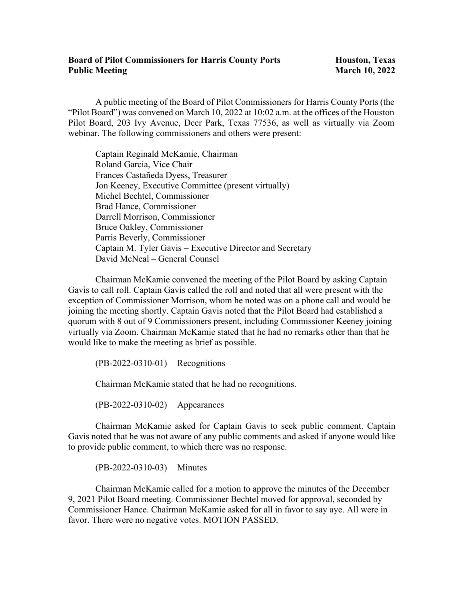## **Board of Pilot Commissioners for Harris County Ports Houston, Texas Public Meeting March 10, 2022**

A public meeting of the Board of Pilot Commissioners for Harris County Ports (the "Pilot Board") was convened on March 10, 2022 at 10:02 a.m. at the offices of the Houston Pilot Board, 203 Ivy Avenue, Deer Park, Texas 77536, as well as virtually via Zoom webinar. The following commissioners and others were present:

Captain Reginald McKamie, Chairman Roland Garcia, Vice Chair Frances Castañeda Dyess, Treasurer Jon Keeney, Executive Committee (present virtually) Michel Bechtel, Commissioner Brad Hance, Commissioner Darrell Morrison, Commissioner Bruce Oakley, Commissioner Parris Beverly, Commissioner Captain M. Tyler Gavis – Executive Director and Secretary David McNeal – General Counsel

Chairman McKamie convened the meeting of the Pilot Board by asking Captain Gavis to call roll. Captain Gavis called the roll and noted that all were present with the exception of Commissioner Morrison, whom he noted was on a phone call and would be joining the meeting shortly. Captain Gavis noted that the Pilot Board had established a quorum with 8 out of 9 Commissioners present, including Commissioner Keeney joining virtually via Zoom. Chairman McKamie stated that he had no remarks other than that he would like to make the meeting as brief as possible.

(PB-2022-0310-01) Recognitions

Chairman McKamie stated that he had no recognitions.

(PB-2022-0310-02) Appearances

Chairman McKamie asked for Captain Gavis to seek public comment. Captain Gavis noted that he was not aware of any public comments and asked if anyone would like to provide public comment, to which there was no response.

(PB-2022-0310-03) Minutes

Chairman McKamie called for a motion to approve the minutes of the December 9, 2021 Pilot Board meeting. Commissioner Bechtel moved for approval, seconded by Commissioner Hance. Chairman McKamie asked for all in favor to say aye. All were in favor. There were no negative votes. MOTION PASSED.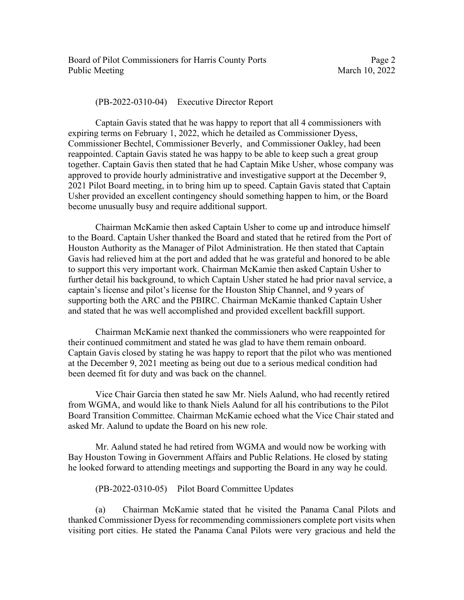Board of Pilot Commissioners for Harris County Ports Page 2 Public Meeting March 10, 2022

(PB-2022-0310-04) Executive Director Report

Captain Gavis stated that he was happy to report that all 4 commissioners with expiring terms on February 1, 2022, which he detailed as Commissioner Dyess, Commissioner Bechtel, Commissioner Beverly, and Commissioner Oakley, had been reappointed. Captain Gavis stated he was happy to be able to keep such a great group together. Captain Gavis then stated that he had Captain Mike Usher, whose company was approved to provide hourly administrative and investigative support at the December 9, 2021 Pilot Board meeting, in to bring him up to speed. Captain Gavis stated that Captain Usher provided an excellent contingency should something happen to him, or the Board become unusually busy and require additional support.

Chairman McKamie then asked Captain Usher to come up and introduce himself to the Board. Captain Usher thanked the Board and stated that he retired from the Port of Houston Authority as the Manager of Pilot Administration. He then stated that Captain Gavis had relieved him at the port and added that he was grateful and honored to be able to support this very important work. Chairman McKamie then asked Captain Usher to further detail his background, to which Captain Usher stated he had prior naval service, a captain's license and pilot's license for the Houston Ship Channel, and 9 years of supporting both the ARC and the PBIRC. Chairman McKamie thanked Captain Usher and stated that he was well accomplished and provided excellent backfill support.

Chairman McKamie next thanked the commissioners who were reappointed for their continued commitment and stated he was glad to have them remain onboard. Captain Gavis closed by stating he was happy to report that the pilot who was mentioned at the December 9, 2021 meeting as being out due to a serious medical condition had been deemed fit for duty and was back on the channel.

Vice Chair Garcia then stated he saw Mr. Niels Aalund, who had recently retired from WGMA, and would like to thank Niels Aalund for all his contributions to the Pilot Board Transition Committee. Chairman McKamie echoed what the Vice Chair stated and asked Mr. Aalund to update the Board on his new role.

Mr. Aalund stated he had retired from WGMA and would now be working with Bay Houston Towing in Government Affairs and Public Relations. He closed by stating he looked forward to attending meetings and supporting the Board in any way he could.

(PB-2022-0310-05) Pilot Board Committee Updates

(a) Chairman McKamie stated that he visited the Panama Canal Pilots and thanked Commissioner Dyess for recommending commissioners complete port visits when visiting port cities. He stated the Panama Canal Pilots were very gracious and held the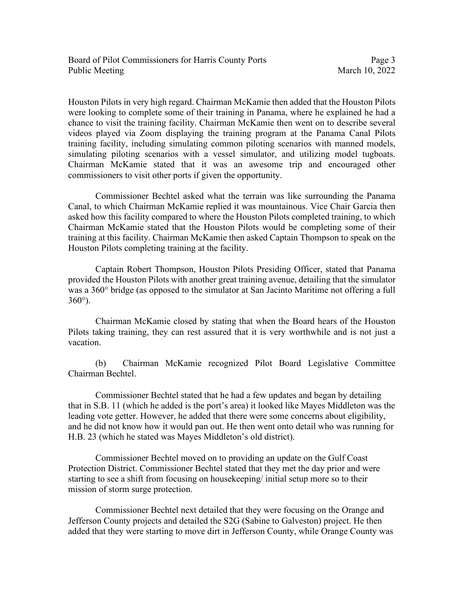Houston Pilots in very high regard. Chairman McKamie then added that the Houston Pilots were looking to complete some of their training in Panama, where he explained he had a chance to visit the training facility. Chairman McKamie then went on to describe several videos played via Zoom displaying the training program at the Panama Canal Pilots training facility, including simulating common piloting scenarios with manned models, simulating piloting scenarios with a vessel simulator, and utilizing model tugboats. Chairman McKamie stated that it was an awesome trip and encouraged other commissioners to visit other ports if given the opportunity.

Commissioner Bechtel asked what the terrain was like surrounding the Panama Canal, to which Chairman McKamie replied it was mountainous. Vice Chair Garcia then asked how this facility compared to where the Houston Pilots completed training, to which Chairman McKamie stated that the Houston Pilots would be completing some of their training at this facility. Chairman McKamie then asked Captain Thompson to speak on the Houston Pilots completing training at the facility.

Captain Robert Thompson, Houston Pilots Presiding Officer, stated that Panama provided the Houston Pilots with another great training avenue, detailing that the simulator was a 360° bridge (as opposed to the simulator at San Jacinto Maritime not offering a full  $360^\circ$ ).

Chairman McKamie closed by stating that when the Board hears of the Houston Pilots taking training, they can rest assured that it is very worthwhile and is not just a vacation.

(b) Chairman McKamie recognized Pilot Board Legislative Committee Chairman Bechtel.

Commissioner Bechtel stated that he had a few updates and began by detailing that in S.B. 11 (which he added is the port's area) it looked like Mayes Middleton was the leading vote getter. However, he added that there were some concerns about eligibility, and he did not know how it would pan out. He then went onto detail who was running for H.B. 23 (which he stated was Mayes Middleton's old district).

Commissioner Bechtel moved on to providing an update on the Gulf Coast Protection District. Commissioner Bechtel stated that they met the day prior and were starting to see a shift from focusing on housekeeping/ initial setup more so to their mission of storm surge protection.

Commissioner Bechtel next detailed that they were focusing on the Orange and Jefferson County projects and detailed the S2G (Sabine to Galveston) project. He then added that they were starting to move dirt in Jefferson County, while Orange County was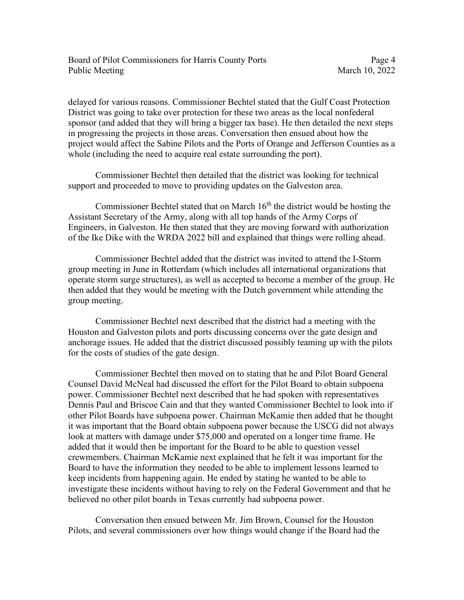delayed for various reasons. Commissioner Bechtel stated that the Gulf Coast Protection District was going to take over protection for these two areas as the local nonfederal sponsor (and added that they will bring a bigger tax base). He then detailed the next steps in progressing the projects in those areas. Conversation then ensued about how the project would affect the Sabine Pilots and the Ports of Orange and Jefferson Counties as a whole (including the need to acquire real estate surrounding the port).

Commissioner Bechtel then detailed that the district was looking for technical support and proceeded to move to providing updates on the Galveston area.

Commissioner Bechtel stated that on March  $16<sup>th</sup>$  the district would be hosting the Assistant Secretary of the Army, along with all top hands of the Army Corps of Engineers, in Galveston. He then stated that they are moving forward with authorization of the Ike Dike with the WRDA 2022 bill and explained that things were rolling ahead.

Commissioner Bechtel added that the district was invited to attend the I-Storm group meeting in June in Rotterdam (which includes all international organizations that operate storm surge structures), as well as accepted to become a member of the group. He then added that they would be meeting with the Dutch government while attending the group meeting.

Commissioner Bechtel next described that the district had a meeting with the Houston and Galveston pilots and ports discussing concerns over the gate design and anchorage issues. He added that the district discussed possibly teaming up with the pilots for the costs of studies of the gate design.

Commissioner Bechtel then moved on to stating that he and Pilot Board General Counsel David McNeal had discussed the effort for the Pilot Board to obtain subpoena power. Commissioner Bechtel next described that he had spoken with representatives Dennis Paul and Briscoe Cain and that they wanted Commissioner Bechtel to look into if other Pilot Boards have subpoena power. Chairman McKamie then added that he thought it was important that the Board obtain subpoena power because the USCG did not always look at matters with damage under \$75,000 and operated on a longer time frame. He added that it would then be important for the Board to be able to question vessel crewmembers. Chairman McKamie next explained that he felt it was important for the Board to have the information they needed to be able to implement lessons learned to keep incidents from happening again. He ended by stating he wanted to be able to investigate these incidents without having to rely on the Federal Government and that he believed no other pilot boards in Texas currently had subpoena power.

Conversation then ensued between Mr. Jim Brown, Counsel for the Houston Pilots, and several commissioners over how things would change if the Board had the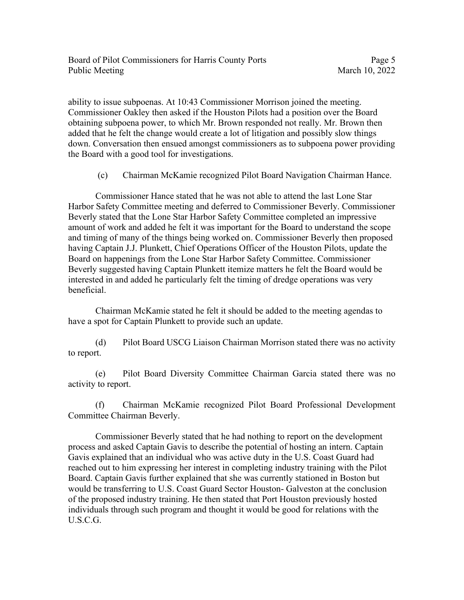ability to issue subpoenas. At 10:43 Commissioner Morrison joined the meeting. Commissioner Oakley then asked if the Houston Pilots had a position over the Board obtaining subpoena power, to which Mr. Brown responded not really. Mr. Brown then added that he felt the change would create a lot of litigation and possibly slow things down. Conversation then ensued amongst commissioners as to subpoena power providing the Board with a good tool for investigations.

(c) Chairman McKamie recognized Pilot Board Navigation Chairman Hance.

Commissioner Hance stated that he was not able to attend the last Lone Star Harbor Safety Committee meeting and deferred to Commissioner Beverly. Commissioner Beverly stated that the Lone Star Harbor Safety Committee completed an impressive amount of work and added he felt it was important for the Board to understand the scope and timing of many of the things being worked on. Commissioner Beverly then proposed having Captain J.J. Plunkett, Chief Operations Officer of the Houston Pilots, update the Board on happenings from the Lone Star Harbor Safety Committee. Commissioner Beverly suggested having Captain Plunkett itemize matters he felt the Board would be interested in and added he particularly felt the timing of dredge operations was very beneficial.

Chairman McKamie stated he felt it should be added to the meeting agendas to have a spot for Captain Plunkett to provide such an update.

(d) Pilot Board USCG Liaison Chairman Morrison stated there was no activity to report.

(e) Pilot Board Diversity Committee Chairman Garcia stated there was no activity to report.

(f) Chairman McKamie recognized Pilot Board Professional Development Committee Chairman Beverly.

Commissioner Beverly stated that he had nothing to report on the development process and asked Captain Gavis to describe the potential of hosting an intern. Captain Gavis explained that an individual who was active duty in the U.S. Coast Guard had reached out to him expressing her interest in completing industry training with the Pilot Board. Captain Gavis further explained that she was currently stationed in Boston but would be transferring to U.S. Coast Guard Sector Houston- Galveston at the conclusion of the proposed industry training. He then stated that Port Houston previously hosted individuals through such program and thought it would be good for relations with the U.S.C.G.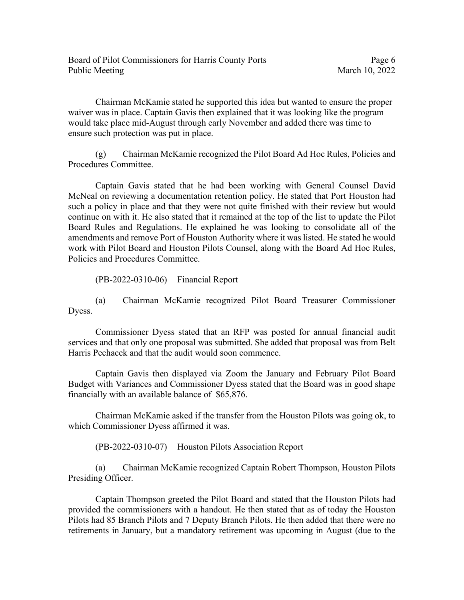Chairman McKamie stated he supported this idea but wanted to ensure the proper waiver was in place. Captain Gavis then explained that it was looking like the program would take place mid-August through early November and added there was time to ensure such protection was put in place.

(g) Chairman McKamie recognized the Pilot Board Ad Hoc Rules, Policies and Procedures Committee.

Captain Gavis stated that he had been working with General Counsel David McNeal on reviewing a documentation retention policy. He stated that Port Houston had such a policy in place and that they were not quite finished with their review but would continue on with it. He also stated that it remained at the top of the list to update the Pilot Board Rules and Regulations. He explained he was looking to consolidate all of the amendments and remove Port of Houston Authority where it was listed. He stated he would work with Pilot Board and Houston Pilots Counsel, along with the Board Ad Hoc Rules, Policies and Procedures Committee.

(PB-2022-0310-06) Financial Report

(a) Chairman McKamie recognized Pilot Board Treasurer Commissioner Dyess.

Commissioner Dyess stated that an RFP was posted for annual financial audit services and that only one proposal was submitted. She added that proposal was from Belt Harris Pechacek and that the audit would soon commence.

Captain Gavis then displayed via Zoom the January and February Pilot Board Budget with Variances and Commissioner Dyess stated that the Board was in good shape financially with an available balance of \$65,876.

Chairman McKamie asked if the transfer from the Houston Pilots was going ok, to which Commissioner Dyess affirmed it was.

(PB-2022-0310-07) Houston Pilots Association Report

(a) Chairman McKamie recognized Captain Robert Thompson, Houston Pilots Presiding Officer.

Captain Thompson greeted the Pilot Board and stated that the Houston Pilots had provided the commissioners with a handout. He then stated that as of today the Houston Pilots had 85 Branch Pilots and 7 Deputy Branch Pilots. He then added that there were no retirements in January, but a mandatory retirement was upcoming in August (due to the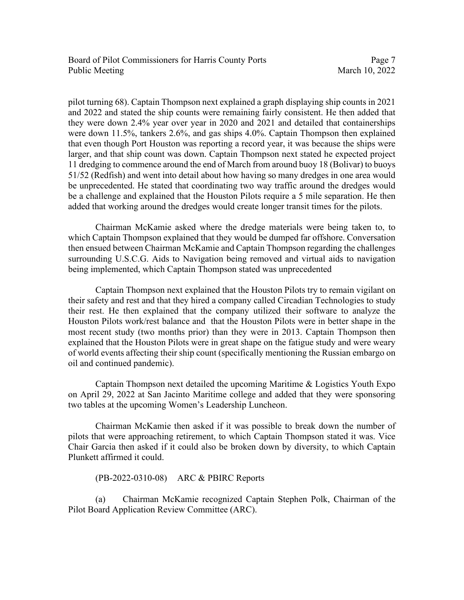Board of Pilot Commissioners for Harris County Ports Page 7 Public Meeting March 10, 2022

pilot turning 68). Captain Thompson next explained a graph displaying ship counts in 2021 and 2022 and stated the ship counts were remaining fairly consistent. He then added that they were down 2.4% year over year in 2020 and 2021 and detailed that containerships were down 11.5%, tankers 2.6%, and gas ships 4.0%. Captain Thompson then explained that even though Port Houston was reporting a record year, it was because the ships were larger, and that ship count was down. Captain Thompson next stated he expected project 11 dredging to commence around the end of March from around buoy 18 (Bolivar) to buoys 51/52 (Redfish) and went into detail about how having so many dredges in one area would be unprecedented. He stated that coordinating two way traffic around the dredges would be a challenge and explained that the Houston Pilots require a 5 mile separation. He then added that working around the dredges would create longer transit times for the pilots.

Chairman McKamie asked where the dredge materials were being taken to, to which Captain Thompson explained that they would be dumped far offshore. Conversation then ensued between Chairman McKamie and Captain Thompson regarding the challenges surrounding U.S.C.G. Aids to Navigation being removed and virtual aids to navigation being implemented, which Captain Thompson stated was unprecedented

Captain Thompson next explained that the Houston Pilots try to remain vigilant on their safety and rest and that they hired a company called Circadian Technologies to study their rest. He then explained that the company utilized their software to analyze the Houston Pilots work/rest balance and that the Houston Pilots were in better shape in the most recent study (two months prior) than they were in 2013. Captain Thompson then explained that the Houston Pilots were in great shape on the fatigue study and were weary of world events affecting their ship count (specifically mentioning the Russian embargo on oil and continued pandemic).

Captain Thompson next detailed the upcoming Maritime & Logistics Youth Expo on April 29, 2022 at San Jacinto Maritime college and added that they were sponsoring two tables at the upcoming Women's Leadership Luncheon.

Chairman McKamie then asked if it was possible to break down the number of pilots that were approaching retirement, to which Captain Thompson stated it was. Vice Chair Garcia then asked if it could also be broken down by diversity, to which Captain Plunkett affirmed it could.

(PB-2022-0310-08) ARC & PBIRC Reports

(a) Chairman McKamie recognized Captain Stephen Polk, Chairman of the Pilot Board Application Review Committee (ARC).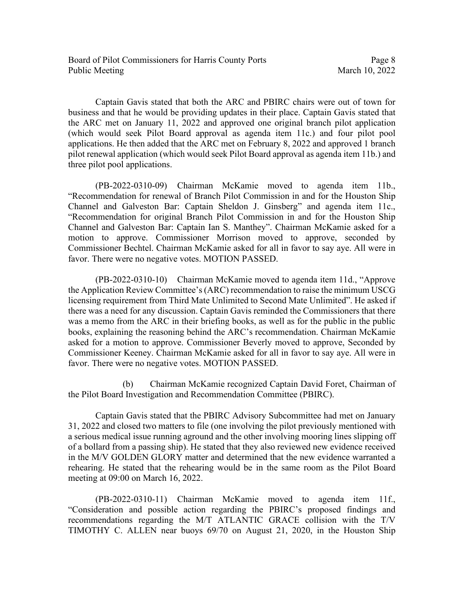Captain Gavis stated that both the ARC and PBIRC chairs were out of town for business and that he would be providing updates in their place. Captain Gavis stated that the ARC met on January 11, 2022 and approved one original branch pilot application (which would seek Pilot Board approval as agenda item 11c.) and four pilot pool applications. He then added that the ARC met on February 8, 2022 and approved 1 branch pilot renewal application (which would seek Pilot Board approval as agenda item 11b.) and three pilot pool applications.

(PB-2022-0310-09) Chairman McKamie moved to agenda item 11b., "Recommendation for renewal of Branch Pilot Commission in and for the Houston Ship Channel and Galveston Bar: Captain Sheldon J. Ginsberg" and agenda item 11c., "Recommendation for original Branch Pilot Commission in and for the Houston Ship Channel and Galveston Bar: Captain Ian S. Manthey". Chairman McKamie asked for a motion to approve. Commissioner Morrison moved to approve, seconded by Commissioner Bechtel. Chairman McKamie asked for all in favor to say aye. All were in favor. There were no negative votes. MOTION PASSED.

(PB-2022-0310-10) Chairman McKamie moved to agenda item 11d., "Approve the Application Review Committee's (ARC) recommendation to raise the minimum USCG licensing requirement from Third Mate Unlimited to Second Mate Unlimited". He asked if there was a need for any discussion. Captain Gavis reminded the Commissioners that there was a memo from the ARC in their briefing books, as well as for the public in the public books, explaining the reasoning behind the ARC's recommendation. Chairman McKamie asked for a motion to approve. Commissioner Beverly moved to approve, Seconded by Commissioner Keeney. Chairman McKamie asked for all in favor to say aye. All were in favor. There were no negative votes. MOTION PASSED.

(b) Chairman McKamie recognized Captain David Foret, Chairman of the Pilot Board Investigation and Recommendation Committee (PBIRC).

Captain Gavis stated that the PBIRC Advisory Subcommittee had met on January 31, 2022 and closed two matters to file (one involving the pilot previously mentioned with a serious medical issue running aground and the other involving mooring lines slipping off of a bollard from a passing ship). He stated that they also reviewed new evidence received in the M/V GOLDEN GLORY matter and determined that the new evidence warranted a rehearing. He stated that the rehearing would be in the same room as the Pilot Board meeting at 09:00 on March 16, 2022.

(PB-2022-0310-11) Chairman McKamie moved to agenda item 11f., "Consideration and possible action regarding the PBIRC's proposed findings and recommendations regarding the M/T ATLANTIC GRACE collision with the T/V TIMOTHY C. ALLEN near buoys 69/70 on August 21, 2020, in the Houston Ship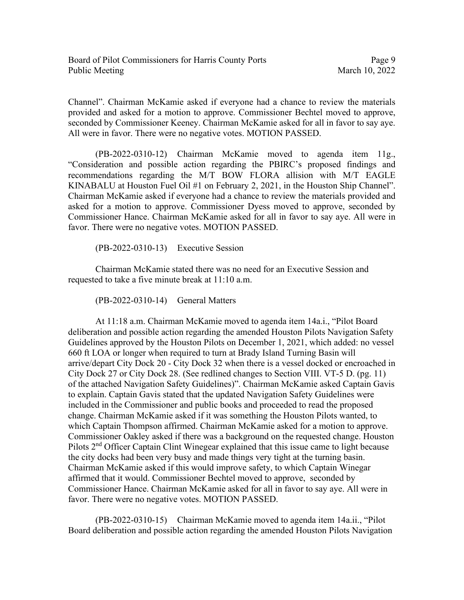Channel". Chairman McKamie asked if everyone had a chance to review the materials provided and asked for a motion to approve. Commissioner Bechtel moved to approve, seconded by Commissioner Keeney. Chairman McKamie asked for all in favor to say aye. All were in favor. There were no negative votes. MOTION PASSED.

(PB-2022-0310-12) Chairman McKamie moved to agenda item 11g., "Consideration and possible action regarding the PBIRC's proposed findings and recommendations regarding the M/T BOW FLORA allision with M/T EAGLE KINABALU at Houston Fuel Oil #1 on February 2, 2021, in the Houston Ship Channel". Chairman McKamie asked if everyone had a chance to review the materials provided and asked for a motion to approve. Commissioner Dyess moved to approve, seconded by Commissioner Hance. Chairman McKamie asked for all in favor to say aye. All were in favor. There were no negative votes. MOTION PASSED.

(PB-2022-0310-13) Executive Session

Chairman McKamie stated there was no need for an Executive Session and requested to take a five minute break at 11:10 a.m.

(PB-2022-0310-14) General Matters

At 11:18 a.m. Chairman McKamie moved to agenda item 14a.i., "Pilot Board deliberation and possible action regarding the amended Houston Pilots Navigation Safety Guidelines approved by the Houston Pilots on December 1, 2021, which added: no vessel 660 ft LOA or longer when required to turn at Brady Island Turning Basin will arrive/depart City Dock 20 - City Dock 32 when there is a vessel docked or encroached in City Dock 27 or City Dock 28. (See redlined changes to Section VIII. VT-5 D. (pg. 11) of the attached Navigation Safety Guidelines)". Chairman McKamie asked Captain Gavis to explain. Captain Gavis stated that the updated Navigation Safety Guidelines were included in the Commissioner and public books and proceeded to read the proposed change. Chairman McKamie asked if it was something the Houston Pilots wanted, to which Captain Thompson affirmed. Chairman McKamie asked for a motion to approve. Commissioner Oakley asked if there was a background on the requested change. Houston Pilots 2<sup>nd</sup> Officer Captain Clint Winegear explained that this issue came to light because the city docks had been very busy and made things very tight at the turning basin. Chairman McKamie asked if this would improve safety, to which Captain Winegar affirmed that it would. Commissioner Bechtel moved to approve, seconded by Commissioner Hance. Chairman McKamie asked for all in favor to say aye. All were in favor. There were no negative votes. MOTION PASSED.

(PB-2022-0310-15) Chairman McKamie moved to agenda item 14a.ii., "Pilot Board deliberation and possible action regarding the amended Houston Pilots Navigation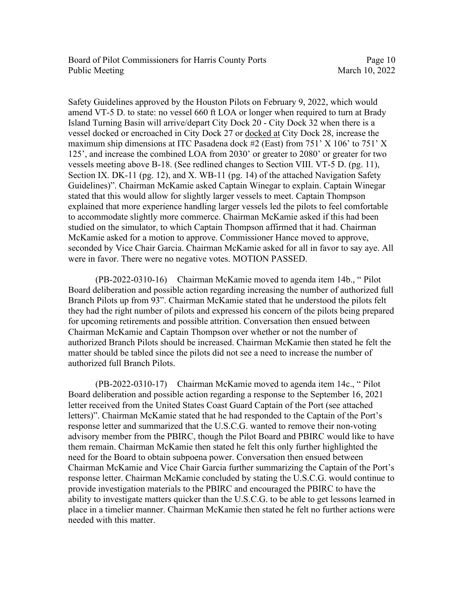Safety Guidelines approved by the Houston Pilots on February 9, 2022, which would amend VT-5 D. to state: no vessel 660 ft LOA or longer when required to turn at Brady Island Turning Basin will arrive/depart City Dock 20 - City Dock 32 when there is a vessel docked or encroached in City Dock 27 or docked at City Dock 28, increase the maximum ship dimensions at ITC Pasadena dock #2 (East) from 751' X 106' to 751' X 125', and increase the combined LOA from 2030' or greater to 2080' or greater for two vessels meeting above B-18. (See redlined changes to Section VIII. VT-5 D. (pg. 11), Section IX. DK-11 (pg. 12), and X. WB-11 (pg. 14) of the attached Navigation Safety Guidelines)". Chairman McKamie asked Captain Winegar to explain. Captain Winegar stated that this would allow for slightly larger vessels to meet. Captain Thompson explained that more experience handling larger vessels led the pilots to feel comfortable to accommodate slightly more commerce. Chairman McKamie asked if this had been studied on the simulator, to which Captain Thompson affirmed that it had. Chairman McKamie asked for a motion to approve. Commissioner Hance moved to approve, seconded by Vice Chair Garcia. Chairman McKamie asked for all in favor to say aye. All were in favor. There were no negative votes. MOTION PASSED.

 (PB-2022-0310-16) Chairman McKamie moved to agenda item 14b., " Pilot Board deliberation and possible action regarding increasing the number of authorized full Branch Pilots up from 93". Chairman McKamie stated that he understood the pilots felt they had the right number of pilots and expressed his concern of the pilots being prepared for upcoming retirements and possible attrition. Conversation then ensued between Chairman McKamie and Captain Thompson over whether or not the number of authorized Branch Pilots should be increased. Chairman McKamie then stated he felt the matter should be tabled since the pilots did not see a need to increase the number of authorized full Branch Pilots.

 (PB-2022-0310-17) Chairman McKamie moved to agenda item 14c., " Pilot Board deliberation and possible action regarding a response to the September 16, 2021 letter received from the United States Coast Guard Captain of the Port (see attached letters)". Chairman McKamie stated that he had responded to the Captain of the Port's response letter and summarized that the U.S.C.G. wanted to remove their non-voting advisory member from the PBIRC, though the Pilot Board and PBIRC would like to have them remain. Chairman McKamie then stated he felt this only further highlighted the need for the Board to obtain subpoena power. Conversation then ensued between Chairman McKamie and Vice Chair Garcia further summarizing the Captain of the Port's response letter. Chairman McKamie concluded by stating the U.S.C.G. would continue to provide investigation materials to the PBIRC and encouraged the PBIRC to have the ability to investigate matters quicker than the U.S.C.G. to be able to get lessons learned in place in a timelier manner. Chairman McKamie then stated he felt no further actions were needed with this matter.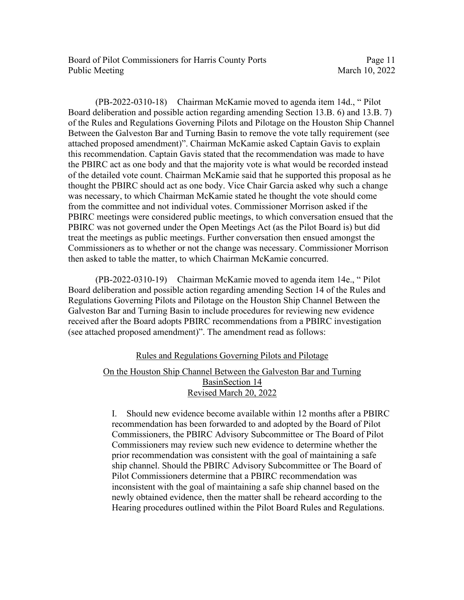Board of Pilot Commissioners for Harris County Ports Page 11 Public Meeting March 10, 2022

 (PB-2022-0310-18) Chairman McKamie moved to agenda item 14d., " Pilot Board deliberation and possible action regarding amending Section 13.B. 6) and 13.B. 7) of the Rules and Regulations Governing Pilots and Pilotage on the Houston Ship Channel Between the Galveston Bar and Turning Basin to remove the vote tally requirement (see attached proposed amendment)". Chairman McKamie asked Captain Gavis to explain this recommendation. Captain Gavis stated that the recommendation was made to have the PBIRC act as one body and that the majority vote is what would be recorded instead of the detailed vote count. Chairman McKamie said that he supported this proposal as he thought the PBIRC should act as one body. Vice Chair Garcia asked why such a change was necessary, to which Chairman McKamie stated he thought the vote should come from the committee and not individual votes. Commissioner Morrison asked if the PBIRC meetings were considered public meetings, to which conversation ensued that the PBIRC was not governed under the Open Meetings Act (as the Pilot Board is) but did treat the meetings as public meetings. Further conversation then ensued amongst the Commissioners as to whether or not the change was necessary. Commissioner Morrison then asked to table the matter, to which Chairman McKamie concurred.

 (PB-2022-0310-19) Chairman McKamie moved to agenda item 14e., " Pilot Board deliberation and possible action regarding amending Section 14 of the Rules and Regulations Governing Pilots and Pilotage on the Houston Ship Channel Between the Galveston Bar and Turning Basin to include procedures for reviewing new evidence received after the Board adopts PBIRC recommendations from a PBIRC investigation (see attached proposed amendment)". The amendment read as follows:

## Rules and Regulations Governing Pilots and Pilotage

## On the Houston Ship Channel Between the Galveston Bar and Turning BasinSection 14 Revised March 20, 2022

I. Should new evidence become available within 12 months after a PBIRC recommendation has been forwarded to and adopted by the Board of Pilot Commissioners, the PBIRC Advisory Subcommittee or The Board of Pilot Commissioners may review such new evidence to determine whether the prior recommendation was consistent with the goal of maintaining a safe ship channel. Should the PBIRC Advisory Subcommittee or The Board of Pilot Commissioners determine that a PBIRC recommendation was inconsistent with the goal of maintaining a safe ship channel based on the newly obtained evidence, then the matter shall be reheard according to the Hearing procedures outlined within the Pilot Board Rules and Regulations.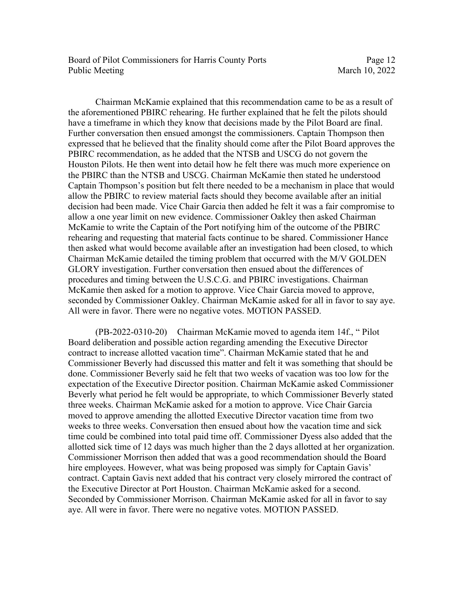Board of Pilot Commissioners for Harris County Ports Page 12 Public Meeting March 10, 2022

Chairman McKamie explained that this recommendation came to be as a result of the aforementioned PBIRC rehearing. He further explained that he felt the pilots should have a timeframe in which they know that decisions made by the Pilot Board are final. Further conversation then ensued amongst the commissioners. Captain Thompson then expressed that he believed that the finality should come after the Pilot Board approves the PBIRC recommendation, as he added that the NTSB and USCG do not govern the Houston Pilots. He then went into detail how he felt there was much more experience on the PBIRC than the NTSB and USCG. Chairman McKamie then stated he understood Captain Thompson's position but felt there needed to be a mechanism in place that would allow the PBIRC to review material facts should they become available after an initial decision had been made. Vice Chair Garcia then added he felt it was a fair compromise to allow a one year limit on new evidence. Commissioner Oakley then asked Chairman McKamie to write the Captain of the Port notifying him of the outcome of the PBIRC rehearing and requesting that material facts continue to be shared. Commissioner Hance then asked what would become available after an investigation had been closed, to which Chairman McKamie detailed the timing problem that occurred with the M/V GOLDEN GLORY investigation. Further conversation then ensued about the differences of procedures and timing between the U.S.C.G. and PBIRC investigations. Chairman McKamie then asked for a motion to approve. Vice Chair Garcia moved to approve, seconded by Commissioner Oakley. Chairman McKamie asked for all in favor to say aye. All were in favor. There were no negative votes. MOTION PASSED.

(PB-2022-0310-20) Chairman McKamie moved to agenda item 14f., " Pilot Board deliberation and possible action regarding amending the Executive Director contract to increase allotted vacation time". Chairman McKamie stated that he and Commissioner Beverly had discussed this matter and felt it was something that should be done. Commissioner Beverly said he felt that two weeks of vacation was too low for the expectation of the Executive Director position. Chairman McKamie asked Commissioner Beverly what period he felt would be appropriate, to which Commissioner Beverly stated three weeks. Chairman McKamie asked for a motion to approve. Vice Chair Garcia moved to approve amending the allotted Executive Director vacation time from two weeks to three weeks. Conversation then ensued about how the vacation time and sick time could be combined into total paid time off. Commissioner Dyess also added that the allotted sick time of 12 days was much higher than the 2 days allotted at her organization. Commissioner Morrison then added that was a good recommendation should the Board hire employees. However, what was being proposed was simply for Captain Gavis' contract. Captain Gavis next added that his contract very closely mirrored the contract of the Executive Director at Port Houston. Chairman McKamie asked for a second. Seconded by Commissioner Morrison. Chairman McKamie asked for all in favor to say aye. All were in favor. There were no negative votes. MOTION PASSED.